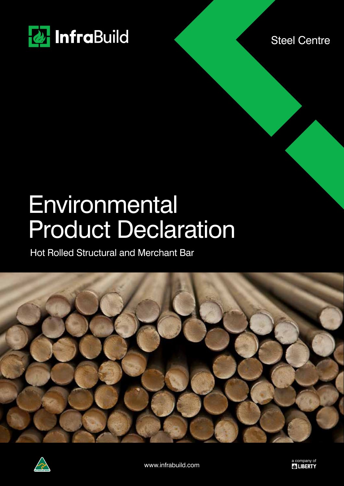

Steel Centre

# **Environmental** Product Declaration

Hot Rolled Structural and Merchant Bar



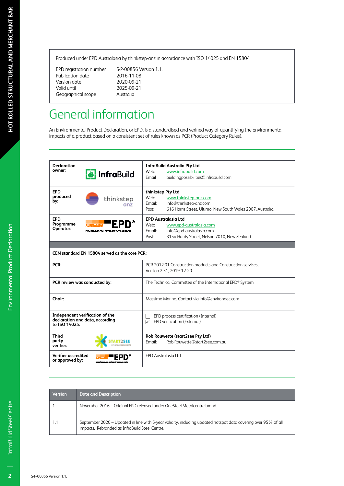Produced under EPD Australasia by thinkstep-anz in accordance with ISO 14025 and EN 15804

Publication date 2016-11-08<br>Version date 2020-09-21 Version date<br>Valid until Geographical scope

EPD registration number S-P-00856 Version 1.1. 2025-09-21<br>Australia

# General information

An Environmental Product Declaration, or EPD, is a standardised and verified way of quantifying the environmental impacts of a product based on a consistent set of rules known as PCR (Product Category Rules).

| <b>Declaration</b>                     |                                               | <b>InfraBuild Australia Pty Ltd</b>                                                      |
|----------------------------------------|-----------------------------------------------|------------------------------------------------------------------------------------------|
| owner:                                 | <b>a</b> InfraBuild                           | Web:<br>www.infrabuild.com                                                               |
|                                        |                                               | buildingpossibilities@infrabuild.com<br>Email                                            |
| <b>EPD</b>                             |                                               | thinkstep Pty Ltd                                                                        |
| produced<br>by:                        | thinkstep                                     | Weh <sup>.</sup><br>www.thinkstep-anz.com                                                |
|                                        | anz                                           | Email:<br>info@thinkstep-anz.com                                                         |
|                                        |                                               | 616 Harris Street, Ultimo, New South Wales 2007, Australia<br>Post:                      |
| <b>EPD</b>                             |                                               | <b>EPD Australasia Ltd</b>                                                               |
| Programme<br>Operator:                 | EPD                                           | Web:<br>www.epd-australasia.com                                                          |
|                                        | ENVIRONMENTAL PRODUCT DECLARATION             | info@epd-australasia.com<br>Email:                                                       |
|                                        |                                               | 315a Hardy Street, Nelson 7010, New Zealand<br>Post:                                     |
|                                        |                                               |                                                                                          |
|                                        | CEN standard EN 15804 served as the core PCR: |                                                                                          |
| PCR:                                   |                                               | PCR 2012:01 Construction products and Construction services,<br>Version 2.31, 2019-12-20 |
|                                        | PCR review was conducted by:                  | The Technical Committee of the International EPD® System                                 |
| Chair:                                 |                                               | Massimo Marino. Contact via info@environdec.com                                          |
|                                        | Independent verification of the               | EPD process certification (Internal)                                                     |
| to ISO 14025:                          | declaration and data, according               | EPD verification (External)<br>⊽                                                         |
| <b>Third</b>                           |                                               | Rob Rouwette (start2see Pty Ltd)                                                         |
| party<br>verifier:                     |                                               | Rob.Rouwette@start2see.com.au<br>Email:                                                  |
| Verifier accredited<br>or approved by: | ENVIRONMENTAL PRODUCT DECLARATION             | <b>EPD Australasia Ltd</b>                                                               |

| <b>Version</b> | <b>Date and Description</b>                                                                                                                                      |
|----------------|------------------------------------------------------------------------------------------------------------------------------------------------------------------|
|                | November 2016 – Original EPD released under OneSteel Metalcentre brand.                                                                                          |
| 1.1            | September 2020 – Updated in line with 5-year validity, including updated hotspot data covering over 95% of all<br>impacts. Rebranded as InfraBuild Steel Centre. |

 $\overline{2}$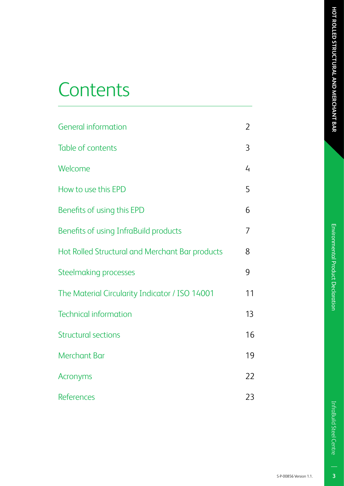# Environmental Product Declaration

# **Contents**

| <b>General information</b>                      | $\mathfrak{D}$ |
|-------------------------------------------------|----------------|
| Table of contents                               | 3              |
| Welcome                                         | 4              |
| How to use this EPD                             | 5              |
| Benefits of using this EPD                      | 6              |
| Benefits of using InfraBuild products           | 7              |
| Hot Rolled Structural and Merchant Bar products | 8              |
| <b>Steelmaking processes</b>                    | 9              |
| The Material Circularity Indicator / ISO 14001  | 11             |
| <b>Technical information</b>                    | 13             |
| <b>Structural sections</b>                      | 16             |
| <b>Merchant Bar</b>                             | 19             |
| <b>Acronyms</b>                                 | 22             |
| <b>References</b>                               | 23             |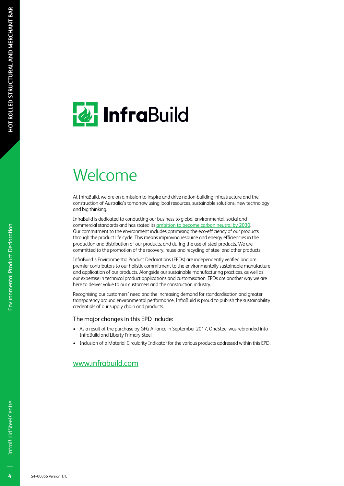# **& InfraBuild**

# Welcome

At InfraBuild, we are on a mission to inspire and drive nation-building infrastructure and the construction of Australia's tomorrow using local resources, sustainable solutions, new technology and big thinking.

InfraBuild is dedicated to conducting our business to global environmental, social and commercial standards and has stated its ambition to become carbon neutral by 2030. Our commitment to the environment includes optimising the eco-efficiency of our products through the product life cycle. This means improving resource and energy efficiencies in the production and distribution of our products, and during the use of steel products. We are committed to the promotion of the recovery, reuse and recycling of steel and other products.

InfraBuild's Environmental Product Declarations (EPDs) are independently verified and are premier contributors to our holistic commitment to the environmentally sustainable manufacture and application of our products. Alongside our sustainable manufacturing practices, as well as our expertise in technical product applications and customisation, EPDs are another way we are here to deliver value to our customers and the construction industry.

Recognising our customers' need and the increasing demand for standardisation and greater transparency around environmental performance, InfraBuild is proud to publish the sustainability credentials of our supply chain and products.

#### The major changes in this EPD include:

- As a result of the purchase by GFG Alliance in September 2017, OneSteel was rebranded into InfraBuild and Liberty Primary Steel
- Inclusion of a Material Circularity Indicator for the various products addressed within this EPD.

#### www.infrabuild.com

 $\overline{4}$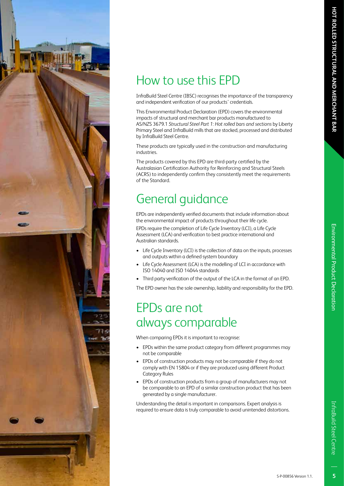# How to use this EPD

InfraBuild Steel Centre (IBSC) recognises the importance of the transparency and independent verification of our products' credentials.

This Environmental Product Declaration (EPD) covers the environmental impacts of structural and merchant bar products manufactured to AS/NZS 3679.1 *Structural Steel Part 1: Hot rolled bars and sections* by Liberty Primary Steel and InfraBuild mills that are stocked, processed and distributed by InfraBuild Steel Centre.

These products are typically used in the construction and manufacturing industries.

The products covered by this EPD are third-party certified by the Australasian Certification Authority for Reinforcing and Structural Steels (ACRS) to independently confirm they consistently meet the requirements of the Standard.

# General guidance

EPDs are independently verified documents that include information about the environmental impact of products throughout their life cycle.

EPDs require the completion of Life Cycle Inventory (LCI), a Life Cycle Assessment (LCA) and verification to best practice international and Australian standards.

- Life Cycle Inventory (LCI) is the collection of data on the inputs, processes and outputs within a defined system boundary
- Life Cycle Assessment (LCA) is the modelling of LCI in accordance with ISO 14040 and ISO 14044 standards
- Third party verification of the output of the LCA in the format of an EPD.

The EPD owner has the sole ownership, liability and responsibility for the EPD.

### EPDs are not always comparable

When comparing EPDs it is important to recognise:

- EPDs within the same product category from different programmes may not be comparable
- EPDs of construction products may not be comparable if they do not comply with EN 15804 or if they are produced using different Product Category Rules
- EPDs of construction products from a group of manufacturers may not be comparable to an EPD of a similar construction product that has been generated by a single manufacturer.

Understanding the detail is important in comparisons. Expert analysis is required to ensure data is truly comparable to avoid unintended distortions.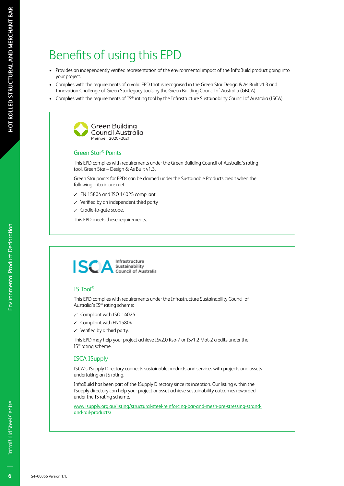# Benefits of using this EPD

- Provides an independently verified representation of the environmental impact of the InfraBuild product going into your project.
- Complies with the requirements of a valid EPD that is recognised in the Green Star Design & As Built v1.3 and Innovation Challenge of Green Star legacy tools by the Green Building Council of Australia (GBCA).
- Complies with the requirements of IS® rating tool by the Infrastructure Sustainability Council of Australia (ISCA).



#### Green Star® Points

This EPD complies with requirements under the Green Building Council of Australia's rating tool, Green Star – Design & As Built v1.3.

Green Star points for EPDs can be claimed under the Sustainable Products credit when the following criteria are met:

- $\checkmark$  EN 15804 and ISO 14025 compliant
- $\checkmark$  Verified by an independent third party
- $\checkmark$  Cradle-to-gate scope.

This EPD meets these requirements.



#### IS Tool®

This EPD complies with requirements under the Infrastructure Sustainability Council of Australia's IS® rating scheme:

- $\checkmark$  Compliant with ISO 14025
- $\checkmark$  Compliant with EN15804
- $\checkmark$  Verified by a third party.

This EPD may help your project achieve ISv2.0 Rso-7 or ISv1.2 Mat-2 credits under the IS® rating scheme.

#### ISCA ISupply

ISCA's ISupply Directory connects sustainable products and services with projects and assets undertaking an IS rating.

InfraBuild has been part of the ISupply Directory since its inception. Our listing within the ISupply directory can help your project or asset achieve sustainability outcomes rewarded under the IS rating scheme.

www.isupply.org.au/listing/structural-steel-reinforcing-bar-and-mesh-pre-stressing-strandand-rail-products/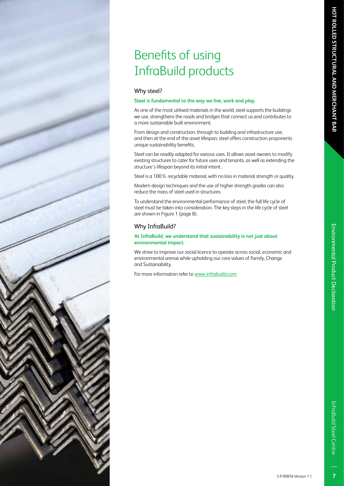# Benefits of using InfraBuild products

#### Why steel?

#### **Steel is fundamental to the way we live, work and play.**

As one of the most utilised materials in the world, steel supports the buildings we use, strengthens the roads and bridges that connect us and contributes to a more sustainable built environment.

From design and construction, through to building and infrastructure use, and then at the end of the asset lifespan, steel offers construction proponents unique sustainability benefits.

Steel can be readily adapted for various uses. It allows asset owners to modify existing structures to cater for future uses and tenants, as well as extending the structure's lifespan beyond its initial intent.

Steel is a 100% recyclable material, with no loss in material strength or quality.

Modern design techniques and the use of higher strength grades can also reduce the mass of steel used in structures.

To understand the environmental performance of steel, the full life cycle of steel must be taken into consideration. The key steps in the life cycle of steel are shown in Figure 1 (page 8).

#### Why InfraBuild?

#### **At InfraBuild, we understand that sustainability is not just about environmental impact.**

We strive to improve our social licence to operate across social, economic and environmental arenas while upholding our core values of Family, Change and Sustainability.

For more information refer to www.infrabuild.com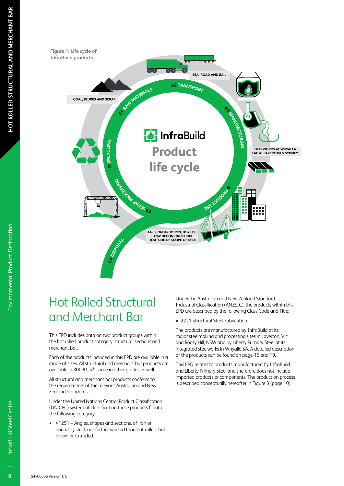

### Hot Rolled Structural and Merchant Bar

This EPD includes data on two product groups within the hot rolled product category: structural sections and merchant bar.

Each of the products included in this EPD are available in a range of sizes. All structural and merchant bar products are available in 300PLUS®, some in other grades as well.

All structural and merchant bar products conform to the requirements of the relevant Australian and New Zealand Standards.

Under the United Nations Central Product Classification (UN CPC) system of classification these products fit into the following category:

• 41251 – Angles, shapes and sections, of iron or non-alloy steel, not further worked than hot-rolled, hotdrawn or extruded.

Under the Australian and New Zealand Standard Industrial Classification (ANZSIC), the products within this EPD are described by the following Class Code and Title;

• 2221 Structural Steel Fabrication

The products are manufactured by InfraBuild at its major steelmaking and processing sites in Laverton, Vic and Rooty Hill, NSW and by Liberty Primary Steel at its integrated steelworks in Whyalla SA. A detailed description of the products can be found on page 16 and 19.

This EPD relates to products manufactured by InfraBuild and Liberty Primary Steel and therefore does not include imported products or components. The production process is described conceptually hereafter in Figure 3 (page 10).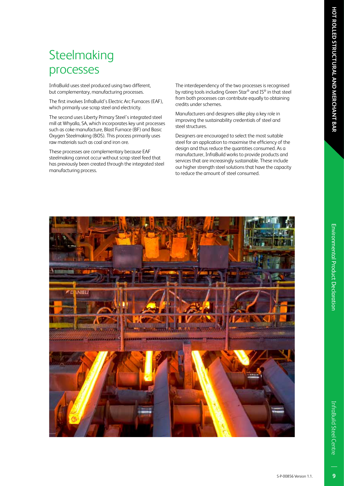# **Steelmaking** processes

InfraBuild uses steel produced using two different, but complementary, manufacturing processes.

The first involves InfraBuild's Electric Arc Furnaces (EAF), which primarily use scrap steel and electricity.

The second uses Liberty Primary Steel's integrated steel mill at Whyalla, SA, which incorporates key unit processes such as coke manufacture, Blast Furnace (BF) and Basic Oxygen Steelmaking (BOS). This process primarily uses raw materials such as coal and iron ore.

These processes are complementary because EAF steelmaking cannot occur without scrap steel feed that has previously been created through the integrated steel manufacturing process.

The interdependency of the two processes is recognised by rating tools including Green Star® and IS® in that steel from both processes can contribute equally to obtaining credits under schemes.

Manufacturers and designers alike play a key role in improving the sustainability credentials of steel and steel structures.

Designers are encouraged to select the most suitable steel for an application to maximise the efficiency of the design and thus reduce the quantities consumed. As a manufacturer, InfraBuild works to provide products and services that are increasingly sustainable. These include our higher strength steel solutions that have the capacity to reduce the amount of steel consumed.

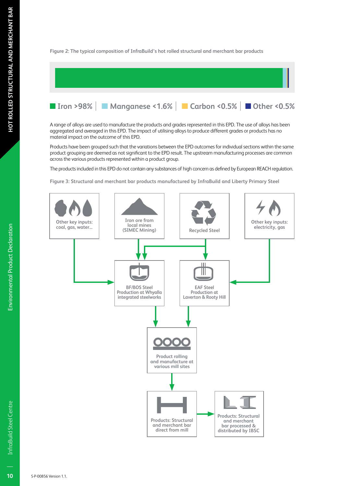**Figure 2: The typical composition of InfraBuild's hot rolled structural and merchant bar products** 



A range of alloys are used to manufacture the products and grades represented in this EPD. The use of alloys has been aggregated and averaged in this EPD. The impact of utilising alloys to produce different grades or products has no material impact on the outcome of this EPD.

Products have been grouped such that the variations between the EPD outcomes for individual sections within the same product grouping are deemed as not significant to the EPD result. The upstream manufacturing processes are common across the various products represented within a product group.

The products included in this EPD do not contain any substances of high concern as defined by European REACH regulation.

**Figure 3: Structural and merchant bar products manufactured by InfraBuild and Liberty Primary Steel**



**Environmental Product Declaration**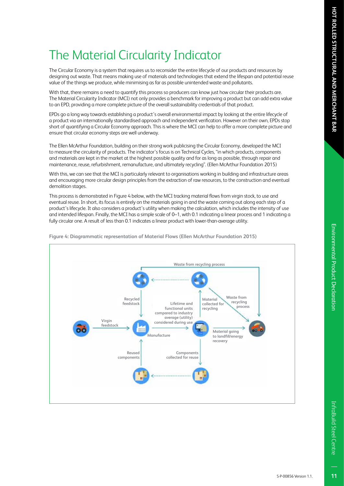# Environmental Product Declaratior

# The Material Circularity Indicator

The Circular Economy is a system that requires us to reconsider the entire lifecycle of our products and resources by designing out waste. That means making use of materials and technologies that extend the lifespan and potential reuse value of the things we produce, while minimising as far as possible unintended waste and pollutants.

With that, there remains a need to quantify this process so producers can know just how circular their products are. The Material Circularity Indicator (MCI) not only provides a benchmark for improving a product but can add extra value to an EPD, providing a more complete picture of the overall sustainability credentials of that product.

EPDs go a long way towards establishing a product's overall environmental impact by looking at the entire lifecycle of a product via an internationally standardised approach and independent verification. However on their own, EPDs stop short of quantifying a Circular Economy approach. This is where the MCI can help to offer a more complete picture and ensure that circular economy steps are well underway.

The Ellen McArthur Foundation, building on their strong work publicising the Circular Economy, developed the MCI to measure the circularity of products. The indicator's focus is on Technical Cycles, "in which products, components and materials are kept in the market at the highest possible quality and for as long as possible, through repair and maintenance, reuse, refurbishment, remanufacture, and ultimately recycling". (Ellen McArthur Foundation 2015)

With this, we can see that the MCI is particularly relevant to organisations working in building and infrastructure areas and encouraging more circular design principles from the extraction of raw resources, to the construction and eventual demolition stages.

This process is demonstrated in Figure 4 below, with the MCI tracking material flows from virgin stock, to use and eventual reuse. In short, its focus is entirely on the materials going in and the waste coming out along each step of a product's lifecycle. It also considers a product's utility when making the calculation, which includes the intensity of use and intended lifespan. Finally, the MCI has a simple scale of 0–1, with 0.1 indicating a linear process and 1 indicating a fully circular one. A result of less than 0.1 indicates a linear product with lower-than-average utility.



**Figure 4: Diagrammatic representation of Material Flows (Ellen McArthur Foundation 2015)**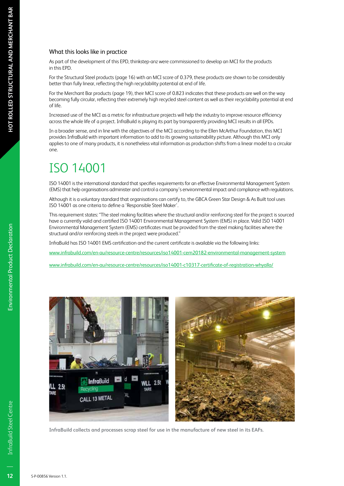#### What this looks like in practice

As part of the development of this EPD, thinkstep-anz were commissioned to develop an MCI for the products in this EPD.

For the Structural Steel products (page 16) with an MCI score of 0.379, these products are shown to be considerably better than fully linear, reflecting the high recyclability potential at end of life.

For the Merchant Bar products (page 19), their MCI score of 0.823 indicates that these products are well on the way becoming fully circular, reflecting their extremely high recycled steel content as well as their recyclability potential at end of life.

Increased use of the MCI as a metric for infrastructure projects will help the industry to improve resource efficiency across the whole life of a project. InfraBuild is playing its part by transparently providing MCI results in all EPDs.

In a broader sense, and in line with the objectives of the MCI according to the Ellen McArthur Foundation, this MCI provides InfraBuild with important information to add to its growing sustainability picture. Although this MCI only applies to one of many products, it is nonetheless vital information as production shifts from a linear model to a circular one.

### ISO 14001

ISO 14001 is the international standard that specifies requirements for an effective Environmental Management System (EMS) that help organisations administer and control a company's environmental impact and compliance with regulations.

Although it is a voluntary standard that organisations can certify to, the GBCA Green Star Design & As Built tool uses ISO 14001 as one criteria to define a 'Responsible Steel Maker'.

This requirement states: "The steel making facilities where the structural and/or reinforcing steel for the project is sourced have a currently valid and certified ISO 14001 Environmental Management System (EMS) in place. Valid ISO 14001 Environmental Management System (EMS) certificates must be provided from the steel making facilities where the structural and/or reinforcing steels in the project were produced."

InfraBuild has ISO 14001 EMS certification and the current certificate is available via the following links:

www.infrabuild.com/en-au/resource-centre/resources/iso14001-cem20182-environmental-management-system

www.infrabuild.com/en-au/resource-centre/resources/iso14001-c10317-certificate-of-registration-whyalla/



**InfraBuild collects and processes scrap steel for use in the manufacture of new steel in its EAFs.**

 $12$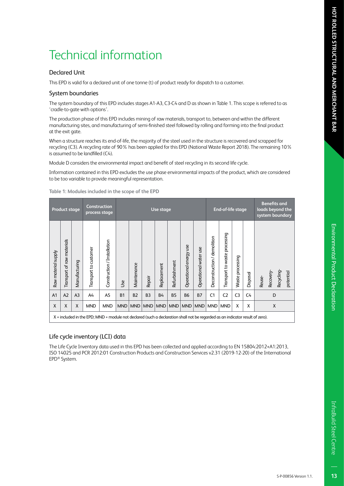#### Declared Unit

This EPD is valid for a declared unit of one tonne (t) of product ready for dispatch to a customer.

#### System boundaries

The system boundary of this EPD includes stages A1-A3, C3-C4 and D as shown in Table 1. This scope is referred to as 'cradle-to-gate with options'.

The production phase of this EPD includes mining of raw materials, transport to, between and within the different manufacturing sites, and manufacturing of semi-finished steel followed by rolling and forming into the final product at the exit gate.

When a structure reaches its end-of-life, the majority of the steel used in the structure is recovered and scrapped for recycling (C3). A recycling rate of 90% has been applied for this EPD (National Waste Report 2018). The remaining 10% is assumed to be landfilled (C4).

Module D considers the environmental impact and benefit of steel recycling in its second life cycle.

Information contained in this EPD excludes the use phase environmental impacts of the product, which are considered to be too variable to provide meaningful representation.

|                     | <b>Product stage</b>                                                                                                          |                |                       | <b>Construction</b><br>process stage |            | Use stage   |                |             | End-of-life stage |                        |                       | <b>Benefits and</b><br>loads beyond the<br>system boundary |                               |                     |          |                                               |
|---------------------|-------------------------------------------------------------------------------------------------------------------------------|----------------|-----------------------|--------------------------------------|------------|-------------|----------------|-------------|-------------------|------------------------|-----------------------|------------------------------------------------------------|-------------------------------|---------------------|----------|-----------------------------------------------|
| Raw material supply | Transport of raw materials                                                                                                    | Manufacturing  | Transport to customer | Construction / Installation          | <b>Jse</b> | Maintenance | Repair         | Replacement | Refurbishment     | Operational energy use | Operational water use | Deconstruction / demolition                                | Transport to waste processing | processing<br>Waste | Disposal | Recycling-<br>potential<br>Recovery<br>Reuse- |
| A <sub>1</sub>      | A2                                                                                                                            | A <sub>3</sub> | A4                    | A <sub>5</sub>                       | <b>B1</b>  | <b>B2</b>   | B <sub>3</sub> | <b>B4</b>   | <b>B5</b>         | <b>B6</b>              | <b>B7</b>             | C <sub>1</sub>                                             | C <sub>2</sub>                | C <sub>3</sub>      | C4       | D                                             |
| X                   | X                                                                                                                             | X              | <b>MND</b>            | <b>MND</b>                           | <b>MND</b> | <b>MND</b>  | <b>MND</b>     | MND         | MND               | MND                    | <b>MND</b>            | <b>MND</b>                                                 | <b>MND</b>                    | X                   | X        | X                                             |
|                     | X = included in the EPD; MND = module not declared (such a declaration shall not be regarded as an indicator result of zero). |                |                       |                                      |            |             |                |             |                   |                        |                       |                                                            |                               |                     |          |                                               |

**Table 1: Modules included in the scope of the EPD**

#### Life cycle inventory (LCI) data

The Life Cycle Inventory data used in this EPD has been collected and applied according to EN 15804:2012+A1:2013, ISO 14025 and PCR 2012:01 Construction Products and Construction Services v2.31 (2019-12-20) of the International EPD® System.

InfraBuild Steel Centre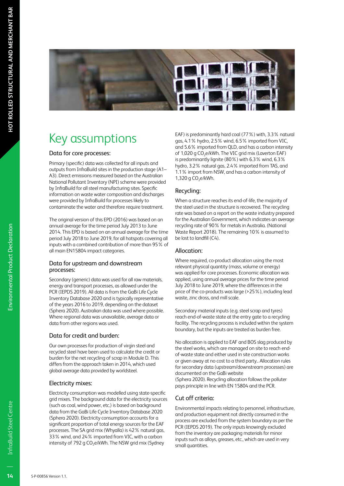

# Key assumptions

#### Data for core processes:

Primary (specific) data was collected for all inputs and outputs from InfraBuild sites in the production stage (A1– A3). Direct emissions measured based on the Australian National Pollutant Inventory (NPI) scheme were provided by InfraBuild for all steel manufacturing sites. Specific information on waste water composition and discharges were provided by InfraBuild for processes likely to contaminate the water and therefore require treatment.

The original version of this EPD (2016) was based on an annual average for the time period July 2013 to June 2014. This EPD is based on an annual average for the time period July 2018 to June 2019, for all hotspots covering all inputs with a combined contribution of more than 95% of all main EN15804 impact categories.

#### Data for upstream and downstream processes:

Secondary (generic) data was used for all raw materials, energy and transport processes, as allowed under the PCR (IEPDS 2019). All data is from the GaBi Life Cycle Inventory Database 2020 and is typically representative of the years 2016 to 2019, depending on the dataset (Sphera 2020). Australian data was used where possible. Where regional data was unavailable, average data or data from other regions was used.

#### Data for credit and burden:

Our own processes for production of virgin steel and recycled steel have been used to calculate the credit or burden for the net recycling of scrap in Module D. This differs from the approach taken in 2014, which used global average data provided by worldsteel.

#### Electricity mixes:

Electricity consumption was modelled using state-specific grid mixes. The background data for the electricity sources (such as coal, wind power, etc.) is based on background data from the GaBi Life Cycle Inventory Database 2020 (Sphera 2020). Electricity consumption accounts for a significant proportion of total energy sources for the EAF processes. The SA grid mix (Whyalla) is 42% natural gas, 33% wind, and 24% imported from VIC, with a carbon intensity of 792 g CO<sub>2</sub>e/kWh. The NSW grid mix (Sydney

EAF) is predominantly hard coal (77%) with, 3.3% natural gas, 4.1% hydro, 2.5% wind, 6.5% imported from VIC, and 5.6% imported from QLD, and has a carbon intensity of 1,020 g CO<sub>2</sub>e/kWh. The VIC grid mix (Laverton EAF) is predominantly lignite (80%) with 6.3% wind, 6.3% hydro, 3.2% natural gas, 2.4% imported from TAS, and 1.1% import from NSW, and has a carbon intensity of 1,320 g  $CO<sub>2</sub>e/kWh$ .

#### Recycling:

When a structure reaches its end-of-life, the majority of the steel used in the structure is recovered. The recycling rate was based on a report on the waste industry prepared for the Australian Government, which indicates an average recycling rate of 90% for metals in Australia. (National Waste Report 2018). The remaining 10% is assumed to be lost to landfill (C4).

#### Allocation:

Where required, co-product allocation using the most relevant physical quantity (mass, volume or energy) was applied for core processes. Economic allocation was applied, using annual average prices for the time period July 2018 to June 2019, where the differences in the price of the co-products was large (>25%), including lead waste, zinc dross, and mill scale.

Secondary material inputs (e.g. steel scrap and tyres) reach end-of-waste state at the entry gate to a recycling facility. The recycling process is included within the system boundary, but the inputs are treated as burden free.

No allocation is applied to EAF and BOS slag produced by the steel works, which are managed on site to reach endof-waste state and either used in site construction works or given away at no cost to a third party.. Allocation rules for secondary data (upstream/downstream processes) are documented on the GaBi website

(Sphera 2020). Recycling allocation follows the polluter pays principle in line with EN 15804 and the PCR.

#### Cut off criteria:

Environmental impacts relating to personnel, infrastructure, and production equipment not directly consumed in the process are excluded from the system boundary as per the PCR (IEPDS 2019). The only inputs knowingly excluded from the inventory are packaging materials for minor inputs such as alloys, greases, etc., which are used in very small quantities.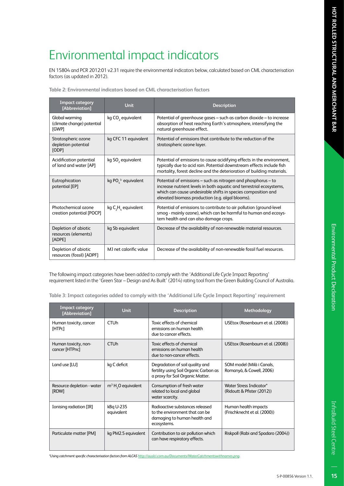# Environmental Product Declaration

# Environmental impact indicators

EN 15804 and PCR 2012:01 v2.31 require the environmental indicators below, calculated based on CML characterisation factors (as updated in 2012).

| <b>Impact category</b><br>[Abbreviation]               | <b>Unit</b>                   | <b>Description</b>                                                                                                                                                                                                                                         |
|--------------------------------------------------------|-------------------------------|------------------------------------------------------------------------------------------------------------------------------------------------------------------------------------------------------------------------------------------------------------|
| Global warming<br>(climate change) potential<br>[GWP]  | kg CO <sub>2</sub> equivalent | Potential of greenhouse gases – such as carbon dioxide – to increase<br>absorption of heat reaching Earth's atmosphere, intensifying the<br>natural greenhouse effect.                                                                                     |
| Stratospheric ozone<br>depletion potential<br>[ODP]    | kg CFC 11 equivalent          | Potential of emissions that contribute to the reduction of the<br>stratospheric ozone layer.                                                                                                                                                               |
| Acidification potential<br>of land and water [AP]      | kg SO <sub>2</sub> equivalent | Potential of emissions to cause acidifying effects in the environment,<br>typically due to acid rain. Potential downstream effects include fish<br>mortality, forest decline and the deterioration of building materials.                                  |
| Eutrophication<br>potential [EP]                       | kg PO $^{3}$ equivalent       | Potential of emissions – such as nitrogen and phosphorus – to<br>increase nutrient levels in both aquatic and terrestrial ecosystems,<br>which can cause undesirable shifts in species composition and<br>elevated biomass production (e.g. algal blooms). |
| Photochemical ozone<br>creation potential [POCP]       | kg $C_2H_2$ equivalent        | Potential of emissions to contribute to air pollution (ground-level<br>smog - mainly ozone), which can be harmful to human and ecosys-<br>tem health and can also damage crops.                                                                            |
| Depletion of abiotic<br>resources (elements)<br>[ADPE] | kg Sb equivalent              | Decrease of the availability of non-renewable material resources.                                                                                                                                                                                          |
| Depletion of abiotic<br>resources (fossil) [ADPF]      | MI net calorific value        | Decrease of the availability of non-renewable fossil fuel resources.                                                                                                                                                                                       |

The following impact categories have been added to comply with the 'Additional Life Cycle Impact Reporting' requirement listed in the 'Green Star – Design and As Built' (2014) rating tool from the Green Building Council of Australia.

**Table 3: Impact categories added to comply with the 'Additional Life Cycle Impact Reporting' requirement**

| <b>Impact category</b><br>[Abbreviation] | <b>Unit</b>             | <b>Description</b>                                                                                               | Methodology                                           |
|------------------------------------------|-------------------------|------------------------------------------------------------------------------------------------------------------|-------------------------------------------------------|
| Human toxicity, cancer<br><b>IHTPCI</b>  | <b>CTU<sub>h</sub></b>  | Toxic effects of chemical<br>emissions on human health<br>due to cancer effects.                                 | USEtox (Rosenbaum et al. (2008))                      |
| Human toxicity, non-<br>cancer [HTPnc]   | <b>CTU<sub>h</sub></b>  | Toxic effects of chemical<br>emissions on human health<br>due to non-cancer effects.                             | USEtox (Rosenbaum et al. (2008))                      |
| Land use [LU]                            | kg C deficit            | Degradation of soil quality and<br>fertility using Soil Organic Carbon as<br>a proxy for Soil Organic Matter.    | SOM model (Milà i Canals,<br>Romanyà, & Cowell, 2006) |
| Resource depletion - water<br>[RDW]      | $m3 H2O$ equivalent     | Consumption of fresh water<br>related to local and global<br>water scarcity.                                     | Water Stress Indicator*<br>(Ridoutt & Pfister (2012)) |
| Ionising radiation [IR]                  | kBq U-235<br>equivalent | Radioactive substances released<br>to the environment that can be<br>damaging to human health and<br>ecosystems. | Human health impacts<br>(Frischknecht et al. (2000))  |
| Particulate matter [PM]                  | kg PM2.5 equivalent     | Contribution to air pollution which<br>can have respiratory effects.                                             | Riskpoll (Rabi and Spadaro (2004))                    |

*\*Using catchment specific characterisation factors from ALCAS http://auslci.com.au/Documents/WaterCatchmentswithnames.png.*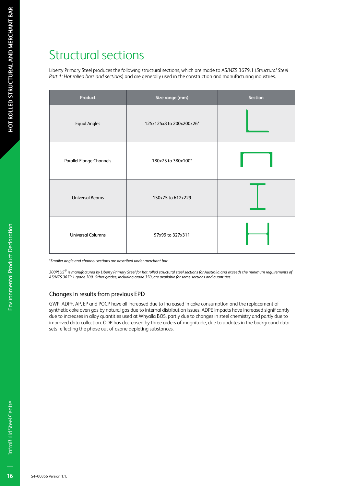# Structural sections

Liberty Primary Steel produces the following structural sections, which are made to AS/NZS 3679.1 (*Structural Steel Part 1: Hot rolled bars and sections*) and are generally used in the construction and manufacturing industries.

| Product                  | Size range (mm)          | <b>Section</b> |
|--------------------------|--------------------------|----------------|
| <b>Equal Angles</b>      | 125x125x8 to 200x200x26* |                |
| Parallel Flange Channels | 180x75 to 380x100*       |                |
| <b>Universal Beams</b>   | 150x75 to 612x229        |                |
| <b>Universal Columns</b> | 97x99 to 327x311         |                |

*\*Smaller angle and channel sections are described under merchant bar*

*300PLUS® is manufactured by Liberty Primary Steel for hot rolled structural steel sections for Australia and exceeds the minimum requirements of AS/NZS 3679.1 grade 300. Other grades, including grade 350, are available for some sections and quantities.*

#### Changes in results from previous EPD

GWP, ADPF, AP, EP and POCP have all increased due to increased in coke consumption and the replacement of synthetic coke oven gas by natural gas due to internal distribution issues. ADPE impacts have increased significantly due to increases in alloy quantities used at Whyalla BOS, partly due to changes in steel chemistry and partly due to improved data collection. ODP has decreased by three orders of magnitude, due to updates in the background data sets reflecting the phase out of ozone depleting substances.

16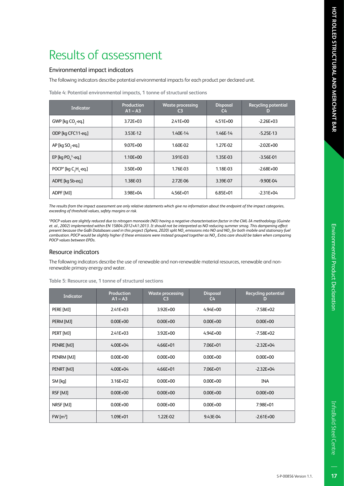#### Environmental impact indicators

The following indicators describe potential environmental impacts for each product per declared unit.

| Indicator                            | Production<br>$A1 - A3$ | <b>Waste processing</b><br>C <sub>3</sub> | <b>Disposal</b><br>C4 | <b>Recycling potential</b><br>D |
|--------------------------------------|-------------------------|-------------------------------------------|-----------------------|---------------------------------|
| GWP [kg CO <sub>2</sub> -eq.]        | $3.72E + 03$            | $2.41E + 00$                              | $4.51E + 00$          | $-2.26E + 03$                   |
| ODP [kg CFC11-eg.]                   | 3.53E-12                | 1.40E-14                                  | 1.46E-14              | $-5.25E-13$                     |
| AP [kg SO <sub>2</sub> -eg.]         | $9.07E + 00$            | 1.60E-02                                  | 1.27E-02              | $-2.02E + 00$                   |
| EP [kg PO $^3$ -eq.]                 | 1.10E+00                | 3.91E-03                                  | 1.35E-03              | $-3.56E-01$                     |
| POCP <sup>*</sup> [kg $C_2H_2$ -eq.] | 3.50E+00                | 1.76E-03                                  | 1.18E-03              | $-2.68E + 00$                   |
| ADPE [kg Sb-eg.]                     | 1.38E-03                | 2.72E-06                                  | 3.39E-07              | $-9.90E - 04$                   |
| ADPF [MJ]                            | 3.98E+04                | $4.56E + 01$                              | $6.85E + 01$          | $-2.31E + 04$                   |

*The results from the impact assessment are only relative statements which give no information about the endpoint of the impact categories, exceeding of threshold values, safety margins or risk.*

*\*POCP values are slightly reduced due to nitrogen monoxide (NO) having a negative characterisation factor in the CML-IA methodology (Guinée et. al., 2002) implemented within EN 15804:2012+A1:2013. It should not be interpreted as NO reducing summer smog. This dampening effect present because the GaBi Databases used in this project (Sphera, 2020) split NOx emissions into NO and NO2 for both mobile and stationary fuel combustion. POCP would be slightly higher if these emissions were instead grouped together as NOx. Extra care should be taken when comparing POCP values between EPDs.*

#### Resource indicators

The following indicators describe the use of renewable and non-renewable material resources, renewable and nonrenewable primary energy and water.

| <b>Indicator</b>     | <b>Production</b><br>$A1 - A3$ | <b>Waste processing</b><br>C <sub>3</sub> | <b>Disposal</b><br>C <sub>4</sub> | <b>Recycling potential</b><br>D |
|----------------------|--------------------------------|-------------------------------------------|-----------------------------------|---------------------------------|
| PERE [MJ]            | $2.41E + 03$                   | $3.92E + 00$                              | $4.94E + 00$                      | $-7.58E + 02$                   |
| PERM [MJ]            | $0.00E + 00$                   | $0.00E + 00$                              | $0.00E + 00$                      | $0.00E + 00$                    |
| PERT [MJ]            | $2.41E + 03$                   | $3.92E + 00$                              | $4.94E + 00$                      | $-7.58E+02$                     |
| PENRE [MJ]           | $4.00E + 04$                   | $4.66E + 01$                              | 7.06E+01                          | $-2.32E + 04$                   |
| PENRM [MJ]           | $0.00E + 00$                   | $0.00E + 00$                              | $0.00E + 00$                      | $0.00E + 00$                    |
| PENRT [MJ]           | $4.00E + 04$                   | $4.66E + 01$                              | 7.06E+01                          | $-2.32E + 04$                   |
| SM [kq]              | $3.16E + 02$                   | $0.00E + 00$                              | $0.00E + 00$                      | <b>INA</b>                      |
| RSF [MJ]             | $0.00E + 00$                   | $0.00E + 00$                              | $0.00E + 00$                      | $0.00E + 00$                    |
| NRSF [MJ]            | $0.00E + 00$                   | $0.00E + 00$                              | $0.00E + 00$                      | 7.98E+01                        |
| FW [m <sup>3</sup> ] | 1.09E+01                       | 1.22E-02                                  | 9.43E-04                          | $-2.61E+00$                     |

**Table 5: Resource use, 1 tonne of structural sections**

InfraBuild Steel Centre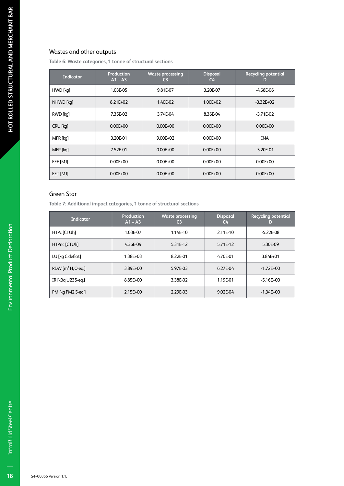#### Wastes and other outputs

**Table 6: Waste categories, 1 tonne of structural sections**

| <b>Indicator</b> | Production<br>$A1 - A3$ | <b>Waste processing</b><br>C <sub>3</sub> | <b>Disposal</b><br>C <sub>4</sub> | <b>Recycling potential</b><br>D |
|------------------|-------------------------|-------------------------------------------|-----------------------------------|---------------------------------|
| HWD [kq]         | 1.03E-05                | 9.81E-07                                  | 3.20E-07                          | $-4.68E-06$                     |
| NHWD [kq]        | $8.21E + 02$            | 1.40E-02                                  | $1.00E + 02$                      | $-3.32E+02$                     |
| RWD [kq]         | 7.35E-02                | 3.74E-04                                  | 8.36E-04                          | $-3.71E - 02$                   |
| CRU [kq]         | $0.00E + 00$            | $0.00E + 00$                              | $0.00E + 00$                      | $0.00E + 00$                    |
| MFR [kq]         | 3.20E-01                | $9.00E + 02$                              | $0.00E + 00$                      | <b>INA</b>                      |
| MER [kq]         | 7.52E-01                | $0.00E + 00$                              | $0.00E + 00$                      | $-5.20E - 01$                   |
| EEE [MJ]         | $0.00E + 00$            | $0.00E + 00$                              | $0.00E + 00$                      | $0.00E + 00$                    |
| EET [MJ]         | $0.00E + 00$            | $0.00E + 00$                              | $0.00E + 00$                      | $0.00E + 00$                    |

#### Green Star

**Table 7: Additional impact categories, 1 tonne of structural sections**

| <b>Indicator</b>              | Production<br>$A1 - A3$ | <b>Waste processing</b><br>C3 | <b>Disposal</b><br>C4 | <b>Recycling potential</b><br>D |
|-------------------------------|-------------------------|-------------------------------|-----------------------|---------------------------------|
| HTPc [CTUh]                   | 1.03E-07                | 1.14E-10                      | 2.11E-10              | $-5.22E-08$                     |
| HTPnc [CTUh]                  | 4.36E-09                | 5.31E-12                      | 5.71E-12              | 5.30E-09                        |
| LU [kg C deficit]             | 1.38E+03                | 8.22E-01                      | 4.70E-01              | 3.84E+01                        |
| RDW $[m^3 H, O \text{-} eq.]$ | 3.89E+00                | 5.97E-03                      | 6.27E-04              | $-1.72E + 00$                   |
| IR [kBq U235-eq.]             | 8.85E+00                | 3.38E-02                      | 1.19E-01              | $-5.16E+00$                     |
| PM [kg PM2.5-eq.]             | $2.15E + 00$            | 2.29E-03                      | 9.02E-04              | $-1.34E + 00$                   |

18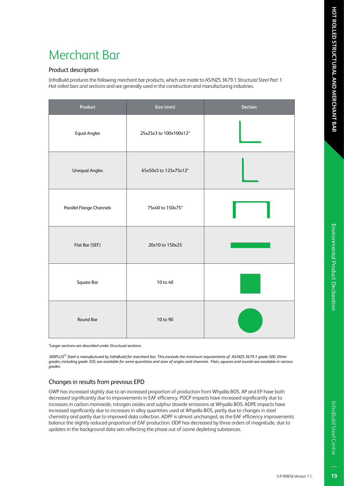# Environmental Product Declaratior

# Merchant Bar

#### Product description

InfraBuild produces the following merchant bar products, which are made to AS/NZS 3679.1 *Structural Steel Part 1: Hot rolled bars and sections* and are generally used in the construction and manufacturing industries.

| Product                         | Size (mm)              | Section |
|---------------------------------|------------------------|---------|
| <b>Equal Angles</b>             | 25x25x3 to 100x100x12* |         |
| <b>Unequal Angles</b>           | 65x50x5 to 125x75x12*  |         |
| <b>Parallel Flange Channels</b> | 75x40 to 150x75*       |         |
| Flat Bar (SEF)                  | 20x10 to 150x25        |         |
| Square Bar                      | 10 to 40               |         |
| Round Bar                       | 10 to 90               |         |

*\*Larger sections are described under Structural sections.*

*300PLUS® Steel is manufactured by InfraBuild for merchant bar. This exceeds the minimum requirements of AS/NZS 3679.1 grade 300. Other grades, including grade 350, are available for some quantities and sizes of angles and channels. Flats, squares and rounds are available in various grades.*

#### Changes in results from previous EPD

GWP has increased slightly due to an increased proportion of production from Whyalla BOS. AP and EP have both decreased significantly due to improvements in EAF efficiency. POCP impacts have increased significantly due to increases in carbon monoxide, nitrogen oxides and sulphur dioxide emissions at Whyalla BOS. ADPE impacts have increased significantly due to increases in alloy quantities used at Whyalla BOS, partly due to changes in steel chemistry and partly due to improved data collection. ADPF is almost unchanged, as the EAF efficiency improvements balance the slightly reduced proportion of EAF production. ODP has decreased by three orders of magnitude, due to updates in the background data sets reflecting the phase out of ozone depleting substances.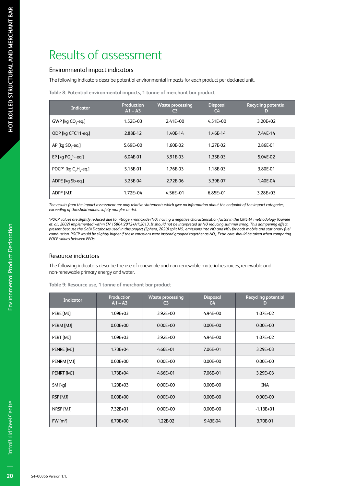# Results of assessment

#### Environmental impact indicators

The following indicators describe potential environmental impacts for each product per declared unit.

|  | Table 8: Potential environmental impacts, 1 tonne of merchant bar product |  |  |  |
|--|---------------------------------------------------------------------------|--|--|--|
|--|---------------------------------------------------------------------------|--|--|--|

| <b>Indicator</b>                     | Production<br>$A1 - A3$ | <b>Waste processing</b><br>C3 | <b>Disposal</b><br>C <sub>4</sub> | <b>Recycling potential</b><br>D |
|--------------------------------------|-------------------------|-------------------------------|-----------------------------------|---------------------------------|
| GWP [kg CO <sub>2</sub> -eq.]        | $1.52E + 03$            | $2.41E + 00$                  | $4.51E + 00$                      | $3.20E + 02$                    |
| ODP [kg CFC11-eg.]                   | 2.88E-12                | 1.40E-14                      | 1.46E-14                          | 7.44E-14                        |
| AP [kg SO <sub>2</sub> -eg.]         | $5.69E + 00$            | 1.60E-02                      | 1.27E-02                          | 2.86E-01                        |
| EP [kg PO $^3$ --eq.]                | 6.04E-01                | 3.91E-03                      | 1.35E-03                          | 5.04E-02                        |
| POCP <sup>*</sup> [kg $C, H, -eq$ .] | 5.16E-01                | 1.76E-03                      | 1.18E-03                          | 3.80E-01                        |
| ADPE [kg Sb-eg.]                     | 3.23E-04                | 2.72E-06                      | 3.39E-07                          | 1.40E-04                        |
| ADPF [MJ]                            | $1.72E + 04$            | $4.56E + 01$                  | $6.85E + 01$                      | $3.28E + 03$                    |

*The results from the impact assessment are only relative statements which give no information about the endpoint of the impact categories, exceeding of threshold values, safety margins or risk.*

*\*POCP values are slightly reduced due to nitrogen monoxide (NO) having a negative characterisation factor in the CML-IA methodology (Guinée et. al., 2002) implemented within EN 15804:2012+A1:2013. It should not be interpreted as NO reducing summer smog. This dampening effect present because the GaBi Databases used in this project (Sphera, 2020) split NOx emissions into NO and NO2 for both mobile and stationary fuel combustion. POCP would be slightly higher if these emissions were instead grouped together as NOx. Extra care should be taken when comparing POCP values between EPDs.*

#### Resource indicators

The following indicators describe the use of renewable and non-renewable material resources, renewable and non-renewable primary energy and water.

**Table 9: Resource use, 1 tonne of merchant bar product** 

| <b>Indicator</b>      | <b>Production</b><br>$A1 - A3$ | <b>Waste processing</b><br>C <sub>3</sub> | <b>Disposal</b><br>C <sub>4</sub> | <b>Recycling potential</b><br>D |
|-----------------------|--------------------------------|-------------------------------------------|-----------------------------------|---------------------------------|
| PERE [MJ]             | $1.09E + 03$                   | $3.92E + 00$                              | $4.94E + 00$                      | $1.07E + 02$                    |
| PERM [MJ]             | $0.00E + 00$                   | $0.00E + 00$                              | $0.00E + 00$                      | $0.00E + 00$                    |
| PERT [MJ]             | 1.09E+03                       | 3.92E+00                                  | $4.94E + 00$                      | 1.07E+02                        |
| PENRE [MJ]            | $1.73E + 04$                   | $4.66E + 01$                              | 7.06E+01                          | $3.29E + 03$                    |
| PENRM [MJ]            | $0.00E + 00$                   | $0.00E + 00$                              | $0.00E + 00$                      | $0.00E + 00$                    |
| PENRT [MJ]            | $1.73E + 04$                   | $4.66E + 01$                              | 7.06E+01                          | 3.29E+03                        |
| SM [kq]               | $1.20E + 03$                   | $0.00E + 00$                              | $0.00E + 00$                      | <b>INA</b>                      |
| RSF [MJ]              | $0.00E + 00$                   | $0.00E + 00$                              | $0.00E + 00$                      | $0.00E + 00$                    |
| NRSF [MJ]             | 7.32E+01                       | $0.00E + 00$                              | $0.00E + 00$                      | $-1.13E + 01$                   |
| $FW \,[\mathrm{m}^3]$ | 6.70E+00                       | 1.22E-02                                  | 9.43E-04                          | 3.70E-01                        |

20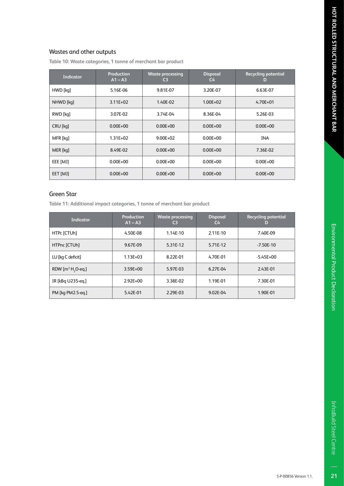**Table 10: Waste categories, 1 tonne of merchant bar product**

| <b>Indicator</b> | <b>Production</b><br>$A1 - A3$ | <b>Waste processing</b><br>C3 | <b>Disposal</b><br>$C_{\mathbf{4}}$ | <b>Recycling potential</b><br>D |
|------------------|--------------------------------|-------------------------------|-------------------------------------|---------------------------------|
| HWD [kq]         | 5.16E-06                       | 9.81E-07                      | 3.20E-07                            | 6.63E-07                        |
| NHWD [kq]        | $3.11E + 02$                   | 1.40E-02                      | $1.00E + 02$                        | $4.70E + 01$                    |
| RWD [kq]         | 3.07E-02                       | 3.74E-04                      | 8.36E-04                            | 5.26E-03                        |
| CRU [kq]         | $0.00E + 00$                   | $0.00E + 00$                  | $0.00E + 00$                        | $0.00E + 00$                    |
| MFR [kq]         | $1.31E + 02$                   | $9.00E + 02$                  | $0.00E + 00$                        | <b>INA</b>                      |
| MER [kq]         | 8.49E-02                       | $0.00E + 00$                  | $0.00E + 00$                        | 7.36E-02                        |
| EEE [MJ]         | $0.00E + 00$                   | $0.00E + 00$                  | $0.00E + 00$                        | $0.00E + 00$                    |
| EET [MJ]         | $0.00E + 00$                   | $0.00E + 00$                  | $0.00E + 00$                        | $0.00E + 00$                    |

#### Green Star

**Table 11: Additional impact categories, 1 tonne of merchant bar product**

| <b>Indicator</b>              | Production<br>$A1 - A3$ | <b>Waste processing</b><br>C <sub>3</sub> | <b>Disposal</b><br>C <sub>4</sub> | <b>Recycling potential</b><br>D |
|-------------------------------|-------------------------|-------------------------------------------|-----------------------------------|---------------------------------|
| HTPc [CTUh]                   | 4.50E-08                | 1.14E-10                                  | 2.11E-10                          | 7.40E-09                        |
| HTPnc [CTUh]                  | 9.67E-09                | 5.31E-12                                  | 5.71E-12                          | $-7.50E-10$                     |
| LU [kg C deficit]             | $1.13E + 03$            | 8.22E-01                                  | 4.70E-01                          | $-5.45E+00$                     |
| RDW $[m^3 H, O \text{-} eq.]$ | 3.59E+00                | 5.97E-03                                  | 6.27E-04                          | 2.43E-01                        |
| IR [kBq U235-eq.]             | $2.92E + 00$            | 3.38E-02                                  | 1.19E-01                          | 7.30E-01                        |
| PM [kg PM2.5-eg.]             | 5.42E-01                | 2.29E-03                                  | 9.02E-04                          | 1.90E-01                        |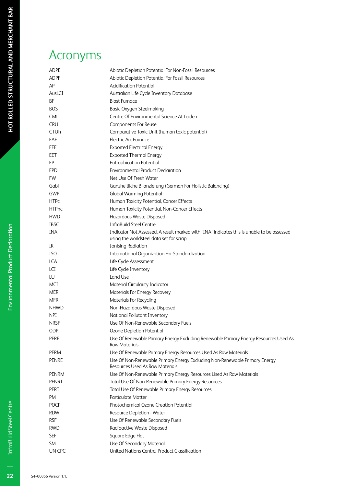### Acronyms

| <b>Acronyms</b>           |                                                                                                                                       |
|---------------------------|---------------------------------------------------------------------------------------------------------------------------------------|
| <b>ADPE</b>               | Abiotic Depletion Potential For Non-Fossil Resources                                                                                  |
| <b>ADPF</b>               | Abiotic Depletion Potential For Fossil Resources                                                                                      |
| AP                        | <b>Acidification Potential</b>                                                                                                        |
| AusLCI                    | Australian Life Cycle Inventory Database                                                                                              |
| <b>BF</b>                 | <b>Blast Furnace</b>                                                                                                                  |
| <b>BOS</b>                | <b>Basic Oxygen Steelmaking</b>                                                                                                       |
| <b>CML</b>                | Centre Of Environmental Science At Leiden                                                                                             |
| <b>CRU</b><br><b>CTUh</b> | Components For Reuse<br>Comparative Toxic Unit (human toxic potential)                                                                |
| EAF                       | <b>Electric Arc Furnace</b>                                                                                                           |
| EEE                       | <b>Exported Electrical Energy</b>                                                                                                     |
| EET                       | <b>Exported Thermal Energy</b>                                                                                                        |
| EP                        | <b>Eutrophication Potential</b>                                                                                                       |
| <b>EPD</b>                | <b>Environmental Product Declaration</b>                                                                                              |
| <b>FW</b>                 | Net Use Of Fresh Water                                                                                                                |
| Gabi                      | Ganzheitliche Bilanzierung (German For Holistic Balancing)                                                                            |
| GWP                       | <b>Global Warming Potential</b>                                                                                                       |
| <b>HTPc</b>               | Human Toxicity Potential, Cancer Effects                                                                                              |
| <b>HTPnc</b>              | Human Toxicity Potential, Non-Cancer Effects                                                                                          |
| <b>HWD</b>                | Hazardous Waste Disposed                                                                                                              |
| <b>IBSC</b>               | <b>InfraBuild Steel Centre</b>                                                                                                        |
| <b>INA</b>                | Indicator Not Assessed. A result marked with 'INA' indicates this is unable to be assessed<br>using the worldsteel data set for scrap |
| IR                        | <b>Ionising Radiation</b>                                                                                                             |
| <b>ISO</b>                | <b>International Organization For Standardization</b>                                                                                 |
| <b>LCA</b>                | Life Cycle Assessment                                                                                                                 |
| LCI<br>LU                 | Life Cycle Inventory<br>Land Use                                                                                                      |
| MCI                       | Material Circularity Indicator                                                                                                        |
| <b>MER</b>                | Materials For Energy Recovery                                                                                                         |
| <b>MFR</b>                | <b>Materials For Recycling</b>                                                                                                        |
| <b>NHWD</b>               | Non-Hazardous Waste Disposed                                                                                                          |
| <b>NPI</b>                | National Pollutant Inventory                                                                                                          |
| <b>NRSF</b>               | Use Of Non-Renewable Secondary Fuels                                                                                                  |
| ODP                       | Ozone Depletion Potential                                                                                                             |
| PERE                      | Use Of Renewable Primary Energy Excluding Renewable Primary Energy Resources Used As<br><b>Raw Materials</b>                          |
| PERM                      | Use Of Renewable Primary Energy Resources Used As Raw Materials                                                                       |
| <b>PENRE</b>              | Use Of Non-Renewable Primary Energy Excluding Non-Renewable Primary Energy<br>Resources Used As Raw Materials                         |
| <b>PENRM</b>              | Use Of Non-Renewable Primary Energy Resources Used As Raw Materials                                                                   |
| <b>PENRT</b>              | Total Use Of Non-Renewable Primary Energy Resources                                                                                   |
| <b>PERT</b>               | Total Use Of Renewable Primary Energy Resources                                                                                       |
| <b>PM</b>                 | <b>Particulate Matter</b>                                                                                                             |
| <b>POCP</b>               | Photochemical Ozone Creation Potential                                                                                                |
| <b>RDW</b>                | Resource Depletion - Water                                                                                                            |
| <b>RSF</b><br><b>RWD</b>  | Use Of Renewable Secondary Fuels                                                                                                      |
|                           | Radioactive Waste Disposed                                                                                                            |
| <b>SEF</b><br><b>SM</b>   | Square Edge Flat<br>Use Of Secondary Material                                                                                         |
| UN CPC                    | United Nations Central Product Classification                                                                                         |

 $\overline{22}$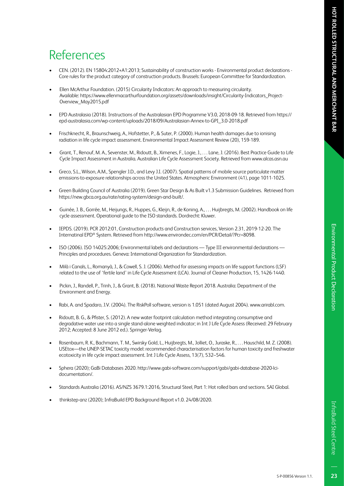# Environmental Product Declaratior

# References

- CEN. (2012). EN 15804:2012+A1:2013; Sustainability of construction works Environmental product declarations Core rules for the product category of construction products. Brussels: European Committee for Standardization.
- Ellen McArthur Foundation. (2015) Circularity Indicators: An approach to measuring circularity. Available: https://www.ellenmacarthurfoundation.org/assets/downloads/insight/Circularity-Indicators\_Project-Overview\_May2015.pdf
- EPD Australasia (2018). Instructions of the Australasian EPD Programme V3.0, 2018-09-18. Retrieved from https:// epd-australasia.com/wp-content/uploads/2018/09/Australasian-Annex-to-GPI\_3.0-2018.pdf
- Frischknecht, R., Braunschweig, A., Hofstetter, P., & Suter, P. (2000). Human health damages due to ionising radiation in life cycle impact assessment. Environmental Impact Assessment Review (20), 159-189.
- Grant, T., Renouf, M. A., Sevenster, M., Ridoutt, B., Ximenes, F., Logie, J., . . . Lane, J. (2016). Best Practice Guide to Life Cycle Impact Assessment in Australia. Australian Life Cycle Assessment Society. Retrieved from www.alcas.asn.au
- Greco, S.L., Wilson, A.M., Spengler J.D., and Levy J.I. (2007). Spatial patterns of mobile source particulate matter emissions-to-exposure relationships across the United States. Atmospheric Environment (41), page 1011-1025.
- Green Building Council of Australia (2019). Green Star Design & As Built v1.3 Submission Guidelines. Retrieved from https://new.gbca.org.au/rate/rating-system/design-and-built/.
- Guinée, J. B., Gorrée, M., Heijungs, R., Huppes, G., Kleijn, R., de Koning, A., . . . Huijbregts, M. (2002). Handbook on life cycle assessment. Operational guide to the ISO standards. Dordrecht: Kluwer.
- IEPDS. (2019). PCR 2012:01, Construction products and Construction services, Version 2.31, 2019-12-20. The Internatinal EPD® System. Retrieved from http://www.environdec.com/en/PCR/Detail/?Pcr=8098.
- ISO (2006). ISO 14025:2006; Environmental labels and declarations Type III environmental declarations Principles and procedures. Geneva: International Organization for Standardization.
- Milà i Canals, L., Romanyà, J., & Cowell, S. J. (2006). Method for assessing impacts on life support functions (LSF) related to the use of 'fertile land' in Life Cycle Assessment (LCA). Journal of Cleaner Production, 15, 1426-1440.
- Pickin, J., Randell, P., Trinh, J., & Grant, B. (2018). National Waste Report 2018. Australia: Department of the Environment and Energy.
- Rabi, A. and Spadaro, J.V. (2004). The RiskPoll software, version is 1.051 (dated August 2004). www.arirabl.com.
- Ridoutt, B. G., & Pfister, S. (2012). A new water footprint calculation method integrating consumptive and degradative water use into a single stand-alone weighted indicator; in Int J Life Cycle Assess (Received: 29 February 2012; Accepted: 8 June 2012 ed.). Springer-Verlag.
- Rosenbaum, R. K., Bachmann, T. M., Swirsky Gold, L., Huijbregts, M., Jolliet, O., Juraske, R., . . . Hauschild, M. Z. (2008). USEtox—the UNEP-SETAC toxicity model: recommended characterisation factors for human toxicity and freshwater ecotoxicity in life cycle impact assessment. Int J Life Cycle Assess, 13(7), 532–546.
- Sphera (2020); GaBi Databases 2020. http://www.gabi-software.com/support/gabi/gabi-database-2020-lcidocumentation/.
- Standards Australia (2016). AS/NZS 3679.1:2016, Structural Steel, Part 1: Hot rolled bars and sections. SAI Global.
- thinkstep-anz (2020); InfraBuild EPD Background Report v1.0. 24/08/2020.